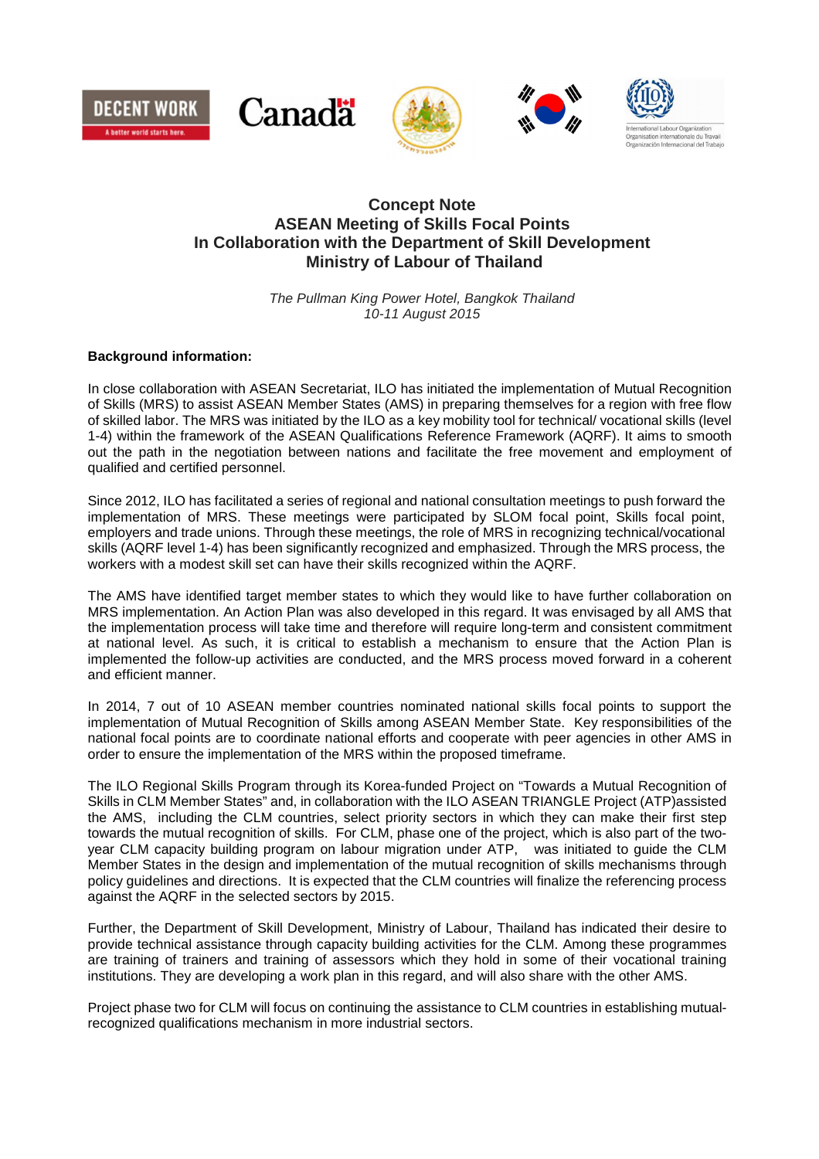









# **Concept Note ASEAN Meeting of Skills Focal Points In Collaboration with the Department of Skill Development Ministry of Labour of Thailand**

The Pullman King Power Hotel, Bangkok Thailand 10-11 August 2015

## **Background information:**

In close collaboration with ASEAN Secretariat, ILO has initiated the implementation of Mutual Recognition of Skills (MRS) to assist ASEAN Member States (AMS) in preparing themselves for a region with free flow of skilled labor. The MRS was initiated by the ILO as a key mobility tool for technical/ vocational skills (level 1-4) within the framework of the ASEAN Qualifications Reference Framework (AQRF). It aims to smooth out the path in the negotiation between nations and facilitate the free movement and employment of qualified and certified personnel.

Since 2012, ILO has facilitated a series of regional and national consultation meetings to push forward the implementation of MRS. These meetings were participated by SLOM focal point, Skills focal point, employers and trade unions. Through these meetings, the role of MRS in recognizing technical/vocational skills (AQRF level 1-4) has been significantly recognized and emphasized. Through the MRS process, the workers with a modest skill set can have their skills recognized within the AQRF.

The AMS have identified target member states to which they would like to have further collaboration on MRS implementation. An Action Plan was also developed in this regard. It was envisaged by all AMS that the implementation process will take time and therefore will require long-term and consistent commitment at national level. As such, it is critical to establish a mechanism to ensure that the Action Plan is implemented the follow-up activities are conducted, and the MRS process moved forward in a coherent and efficient manner.

In 2014, 7 out of 10 ASEAN member countries nominated national skills focal points to support the implementation of Mutual Recognition of Skills among ASEAN Member State. Key responsibilities of the national focal points are to coordinate national efforts and cooperate with peer agencies in other AMS in order to ensure the implementation of the MRS within the proposed timeframe.

The ILO Regional Skills Program through its Korea-funded Project on "Towards a Mutual Recognition of Skills in CLM Member States" and, in collaboration with the ILO ASEAN TRIANGLE Project (ATP)assisted the AMS, including the CLM countries, select priority sectors in which they can make their first step towards the mutual recognition of skills. For CLM, phase one of the project, which is also part of the twoyear CLM capacity building program on labour migration under ATP, was initiated to guide the CLM Member States in the design and implementation of the mutual recognition of skills mechanisms through policy guidelines and directions. It is expected that the CLM countries will finalize the referencing process against the AQRF in the selected sectors by 2015.

Further, the Department of Skill Development, Ministry of Labour, Thailand has indicated their desire to provide technical assistance through capacity building activities for the CLM. Among these programmes are training of trainers and training of assessors which they hold in some of their vocational training institutions. They are developing a work plan in this regard, and will also share with the other AMS.

Project phase two for CLM will focus on continuing the assistance to CLM countries in establishing mutualrecognized qualifications mechanism in more industrial sectors.